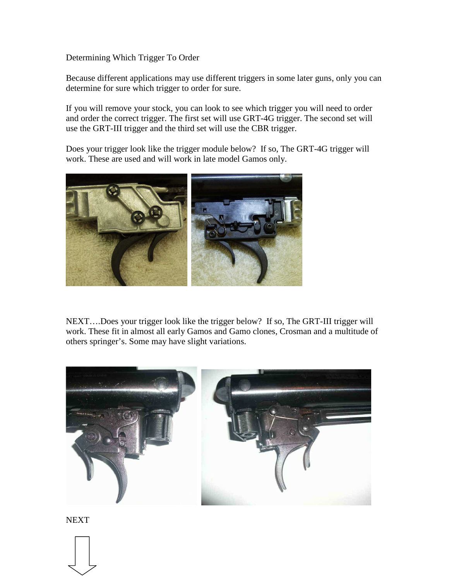Determining Which Trigger To Order

Because different applications may use different triggers in some later guns, only you can determine for sure which trigger to order for sure.

If you will remove your stock, you can look to see which trigger you will need to order and order the correct trigger. The first set will use GRT-4G trigger. The second set will use the GRT-III trigger and the third set will use the CBR trigger.

Does your trigger look like the trigger module below? If so, The GRT-4G trigger will work. These are used and will work in late model Gamos only.



NEXT….Does your trigger look like the trigger below? If so, The GRT-III trigger will work. These fit in almost all early Gamos and Gamo clones, Crosman and a multitude of others springer's. Some may have slight variations.



**NEXT**